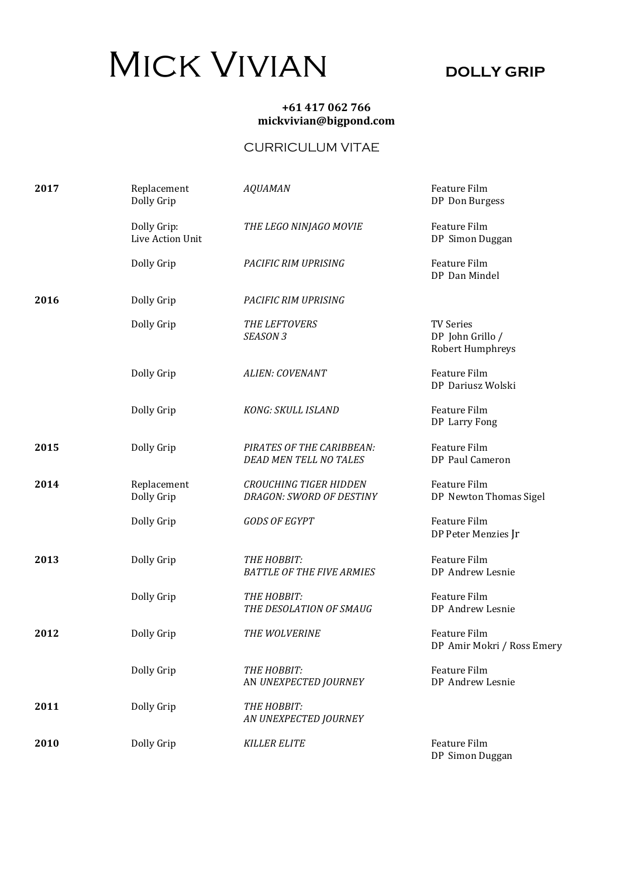## MICK VIVIAN DOLLY GRIP

## +61 417 062 766 mickvivian@bigpond.com

## CURRICULUM VITAE

| 2017 | Replacement<br>Dolly Grip       | <b>AQUAMAN</b>                                             | Feature Film<br>DP Don Burgess                           |
|------|---------------------------------|------------------------------------------------------------|----------------------------------------------------------|
|      | Dolly Grip:<br>Live Action Unit | THE LEGO NINJAGO MOVIE                                     | Feature Film<br>DP Simon Duggan                          |
|      | Dolly Grip                      | PACIFIC RIM UPRISING                                       | Feature Film<br>DP Dan Mindel                            |
| 2016 | Dolly Grip                      | PACIFIC RIM UPRISING                                       |                                                          |
|      | Dolly Grip                      | THE LEFTOVERS<br>SEASON <sub>3</sub>                       | <b>TV Series</b><br>DP John Grillo /<br>Robert Humphreys |
|      | Dolly Grip                      | <b>ALIEN: COVENANT</b>                                     | Feature Film<br>DP Dariusz Wolski                        |
|      | Dolly Grip                      | <b>KONG: SKULL ISLAND</b>                                  | Feature Film<br>DP Larry Fong                            |
| 2015 | Dolly Grip                      | PIRATES OF THE CARIBBEAN:<br><b>DEAD MEN TELL NO TALES</b> | Feature Film<br>DP Paul Cameron                          |
| 2014 | Replacement<br>Dolly Grip       | <b>CROUCHING TIGER HIDDEN</b><br>DRAGON: SWORD OF DESTINY  | Feature Film<br>DP Newton Thomas Sigel                   |
|      | Dolly Grip                      | <b>GODS OF EGYPT</b>                                       | Feature Film<br>DP Peter Menzies Jr                      |
| 2013 | Dolly Grip                      | THE HOBBIT:<br><b>BATTLE OF THE FIVE ARMIES</b>            | Feature Film<br>DP Andrew Lesnie                         |
|      | Dolly Grip                      | THE HOBBIT:<br>THE DESOLATION OF SMAUG                     | Feature Film<br>DP Andrew Lesnie                         |
| 2012 | Dolly Grip                      | <b>THE WOLVERINE</b>                                       | Feature Film<br>DP Amir Mokri / Ross Emery               |
|      | Dolly Grip                      | THE HOBBIT:<br>AN UNEXPECTED JOURNEY                       | Feature Film<br>DP Andrew Lesnie                         |
| 2011 | Dolly Grip                      | THE HOBBIT:<br>AN UNEXPECTED JOURNEY                       |                                                          |
| 2010 | Dolly Grip                      | <b>KILLER ELITE</b>                                        | <b>Feature Film</b><br>DP Simon Duggan                   |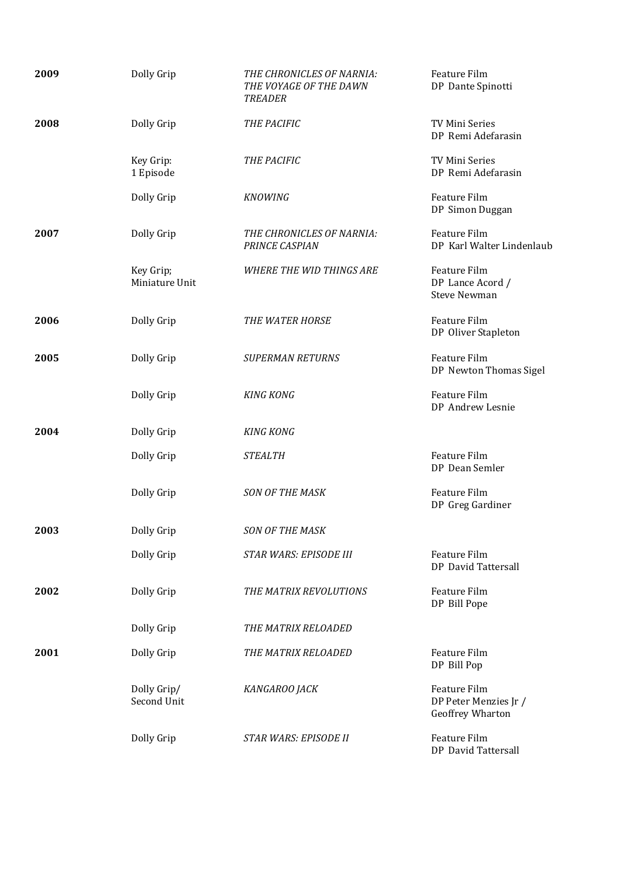| 2009 | Dolly Grip                  | THE CHRONICLES OF NARNIA:<br>THE VOYAGE OF THE DAWN<br><b>TREADER</b> | Feature Film<br>DP Dante Spinotti                         |
|------|-----------------------------|-----------------------------------------------------------------------|-----------------------------------------------------------|
| 2008 | Dolly Grip                  | THE PACIFIC                                                           | TV Mini Series<br>DP Remi Adefarasin                      |
|      | Key Grip:<br>1 Episode      | THE PACIFIC                                                           | TV Mini Series<br>DP Remi Adefarasin                      |
|      | Dolly Grip                  | <b>KNOWING</b>                                                        | Feature Film<br>DP Simon Duggan                           |
| 2007 | Dolly Grip                  | THE CHRONICLES OF NARNIA:<br>PRINCE CASPIAN                           | Feature Film<br>DP Karl Walter Lindenlaub                 |
|      | Key Grip;<br>Miniature Unit | <b>WHERE THE WID THINGS ARE</b>                                       | Feature Film<br>DP Lance Acord /<br><b>Steve Newman</b>   |
| 2006 | Dolly Grip                  | THE WATER HORSE                                                       | Feature Film<br>DP Oliver Stapleton                       |
| 2005 | Dolly Grip                  | <b>SUPERMAN RETURNS</b>                                               | Feature Film<br>DP Newton Thomas Sigel                    |
|      | Dolly Grip                  | <b>KING KONG</b>                                                      | Feature Film<br>DP Andrew Lesnie                          |
| 2004 | Dolly Grip                  | <b>KING KONG</b>                                                      |                                                           |
|      | Dolly Grip                  | <b>STEALTH</b>                                                        | Feature Film<br>DP Dean Semler                            |
|      | Dolly Grip                  | <b>SON OF THE MASK</b>                                                | Feature Film<br>DP Greg Gardiner                          |
| 2003 | Dolly Grip                  | <b>SON OF THE MASK</b>                                                |                                                           |
|      | Dolly Grip                  | STAR WARS: EPISODE III                                                | Feature Film<br>DP David Tattersall                       |
| 2002 | Dolly Grip                  | THE MATRIX REVOLUTIONS                                                | Feature Film<br>DP Bill Pope                              |
|      | Dolly Grip                  | THE MATRIX RELOADED                                                   |                                                           |
| 2001 | Dolly Grip                  | THE MATRIX RELOADED                                                   | Feature Film<br>DP Bill Pop                               |
|      | Dolly Grip/<br>Second Unit  | KANGAROO JACK                                                         | Feature Film<br>DP Peter Menzies Jr /<br>Geoffrey Wharton |
|      | Dolly Grip                  | STAR WARS: EPISODE II                                                 | Feature Film<br>DP David Tattersall                       |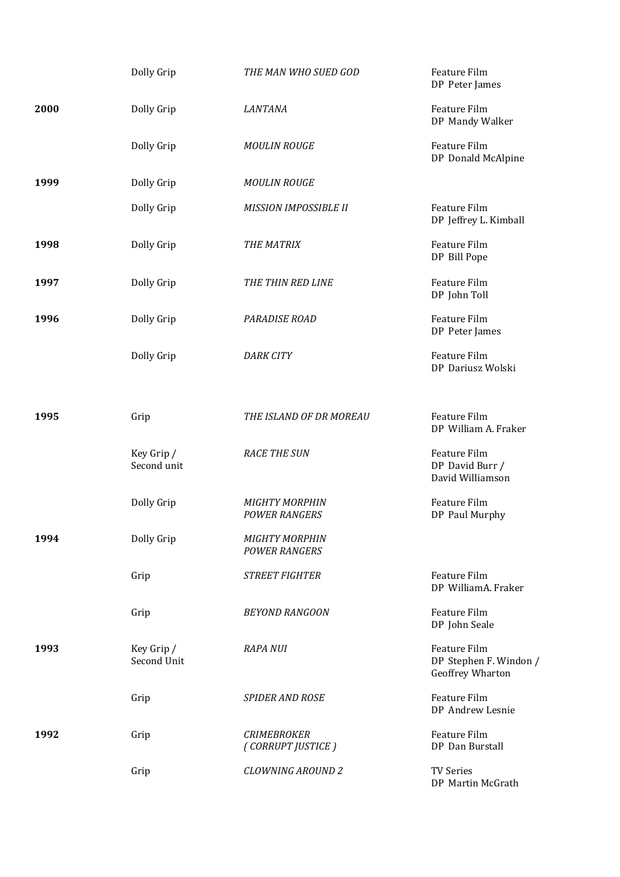|      | Dolly Grip                | THE MAN WHO SUED GOD                          | Feature Film<br>DP Peter James                             |
|------|---------------------------|-----------------------------------------------|------------------------------------------------------------|
| 2000 | Dolly Grip                | <b>LANTANA</b>                                | Feature Film<br>DP Mandy Walker                            |
|      | Dolly Grip                | <b>MOULIN ROUGE</b>                           | Feature Film<br>DP Donald McAlpine                         |
| 1999 | Dolly Grip                | <b>MOULIN ROUGE</b>                           |                                                            |
|      | Dolly Grip                | <b>MISSION IMPOSSIBLE II</b>                  | Feature Film<br>DP Jeffrey L. Kimball                      |
| 1998 | Dolly Grip                | THE MATRIX                                    | Feature Film<br>DP Bill Pope                               |
| 1997 | Dolly Grip                | THE THIN RED LINE                             | Feature Film<br>DP John Toll                               |
| 1996 | Dolly Grip                | PARADISE ROAD                                 | Feature Film<br>DP Peter James                             |
|      | Dolly Grip                | <b>DARK CITY</b>                              | Feature Film<br>DP Dariusz Wolski                          |
| 1995 | Grip                      | THE ISLAND OF DR MOREAU                       | Feature Film<br>DP William A. Fraker                       |
|      | Key Grip /<br>Second unit | <b>RACE THE SUN</b>                           | Feature Film<br>DP David Burr /<br>David Williamson        |
|      | Dolly Grip                | <b>MIGHTY MORPHIN</b><br><b>POWER RANGERS</b> | Feature Film<br>DP Paul Murphy                             |
| 1994 | Dolly Grip                | <b>MIGHTY MORPHIN</b><br><b>POWER RANGERS</b> |                                                            |
|      | Grip                      | <b>STREET FIGHTER</b>                         | Feature Film<br>DP WilliamA. Fraker                        |
|      | Grip                      | <b>BEYOND RANGOON</b>                         | Feature Film<br>DP John Seale                              |
| 1993 | Key Grip /<br>Second Unit | <b>RAPA NUI</b>                               | Feature Film<br>DP Stephen F. Windon /<br>Geoffrey Wharton |
|      | Grip                      | <b>SPIDER AND ROSE</b>                        | Feature Film<br>DP Andrew Lesnie                           |
| 1992 | Grip                      | <b>CRIMEBROKER</b><br>(CORRUPT JUSTICE)       | Feature Film<br>DP Dan Burstall                            |
|      | Grip                      | <b>CLOWNING AROUND 2</b>                      | <b>TV Series</b><br>DP Martin McGrath                      |